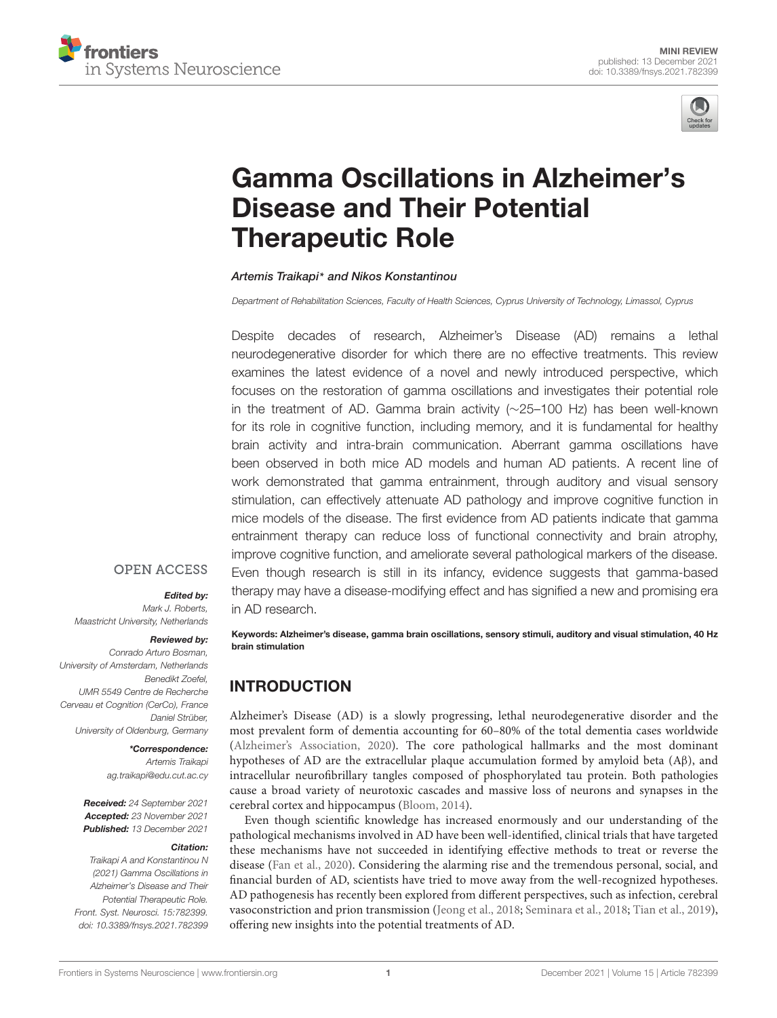



# [Gamma Oscillations in Alzheimer's](https://www.frontiersin.org/articles/10.3389/fnsys.2021.782399/full) Disease and Their Potential Therapeutic Role

Artemis Traikapi\* and Nikos Konstantinou

Department of Rehabilitation Sciences, Faculty of Health Sciences, Cyprus University of Technology, Limassol, Cyprus

Despite decades of research, Alzheimer's Disease (AD) remains a lethal neurodegenerative disorder for which there are no effective treatments. This review examines the latest evidence of a novel and newly introduced perspective, which focuses on the restoration of gamma oscillations and investigates their potential role in the treatment of AD. Gamma brain activity (∼25–100 Hz) has been well-known for its role in cognitive function, including memory, and it is fundamental for healthy brain activity and intra-brain communication. Aberrant gamma oscillations have been observed in both mice AD models and human AD patients. A recent line of work demonstrated that gamma entrainment, through auditory and visual sensory stimulation, can effectively attenuate AD pathology and improve cognitive function in mice models of the disease. The first evidence from AD patients indicate that gamma entrainment therapy can reduce loss of functional connectivity and brain atrophy, improve cognitive function, and ameliorate several pathological markers of the disease. Even though research is still in its infancy, evidence suggests that gamma-based therapy may have a disease-modifying effect and has signified a new and promising era in AD research.

#### **OPEN ACCESS**

#### Edited by:

Mark J. Roberts, Maastricht University, Netherlands

#### Reviewed by:

Conrado Arturo Bosman, University of Amsterdam, Netherlands Benedikt Zoefel, UMR 5549 Centre de Recherche Cerveau et Cognition (CerCo), France Daniel Strüber, University of Oldenburg, Germany

#### \*Correspondence:

Artemis Traikapi ag.traikapi@edu.cut.ac.cy

Received: 24 September 2021 Accepted: 23 November 2021 Published: 13 December 2021

#### Citation:

Traikapi A and Konstantinou N (2021) Gamma Oscillations in Alzheimer's Disease and Their Potential Therapeutic Role. Front. Syst. Neurosci. 15:782399. doi: [10.3389/fnsys.2021.782399](https://doi.org/10.3389/fnsys.2021.782399)

Keywords: Alzheimer's disease, gamma brain oscillations, sensory stimuli, auditory and visual stimulation, 40 Hz brain stimulation

# INTRODUCTION

Alzheimer's Disease (AD) is a slowly progressing, lethal neurodegenerative disorder and the most prevalent form of dementia accounting for 60–80% of the total dementia cases worldwide [\(Alzheimer's Association,](#page-6-0) [2020\)](#page-6-0). The core pathological hallmarks and the most dominant hypotheses of AD are the extracellular plaque accumulation formed by amyloid beta (Aβ), and intracellular neurofibrillary tangles composed of phosphorylated tau protein. Both pathologies cause a broad variety of neurotoxic cascades and massive loss of neurons and synapses in the cerebral cortex and hippocampus [\(Bloom,](#page-6-1) [2014\)](#page-6-1).

Even though scientific knowledge has increased enormously and our understanding of the pathological mechanisms involved in AD have been well-identified, clinical trials that have targeted these mechanisms have not succeeded in identifying effective methods to treat or reverse the disease [\(Fan et al.,](#page-7-0) [2020\)](#page-7-0). Considering the alarming rise and the tremendous personal, social, and financial burden of AD, scientists have tried to move away from the well-recognized hypotheses. AD pathogenesis has recently been explored from different perspectives, such as infection, cerebral vasoconstriction and prion transmission [\(Jeong et al.,](#page-7-1) [2018;](#page-7-1) [Seminara et al.,](#page-7-2) [2018;](#page-7-2) [Tian et al.,](#page-8-0) [2019\)](#page-8-0), offering new insights into the potential treatments of AD.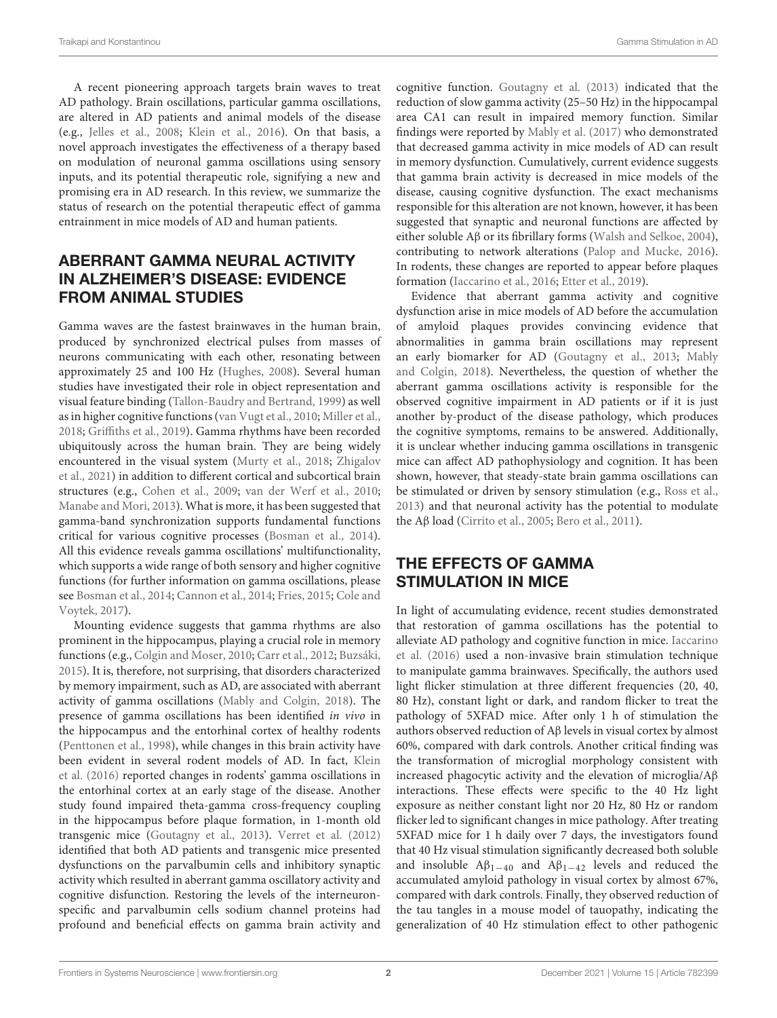A recent pioneering approach targets brain waves to treat AD pathology. Brain oscillations, particular gamma oscillations, are altered in AD patients and animal models of the disease (e.g., [Jelles et al.,](#page-7-3) [2008;](#page-7-3) [Klein et al.,](#page-7-4) [2016\)](#page-7-4). On that basis, a novel approach investigates the effectiveness of a therapy based on modulation of neuronal gamma oscillations using sensory inputs, and its potential therapeutic role, signifying a new and promising era in AD research. In this review, we summarize the status of research on the potential therapeutic effect of gamma entrainment in mice models of AD and human patients.

# ABERRANT GAMMA NEURAL ACTIVITY IN ALZHEIMER'S DISEASE: EVIDENCE FROM ANIMAL STUDIES

Gamma waves are the fastest brainwaves in the human brain, produced by synchronized electrical pulses from masses of neurons communicating with each other, resonating between approximately 25 and 100 Hz [\(Hughes,](#page-7-5) [2008\)](#page-7-5). Several human studies have investigated their role in object representation and visual feature binding [\(Tallon-Baudry and Bertrand,](#page-8-1) [1999\)](#page-8-1) as well as in higher cognitive functions [\(van Vugt et al.,](#page-8-2) [2010;](#page-8-2) [Miller et al.,](#page-7-6) [2018;](#page-7-6) [Griffiths et al.,](#page-7-7) [2019\)](#page-7-7). Gamma rhythms have been recorded ubiquitously across the human brain. They are being widely encountered in the visual system [\(Murty et al.,](#page-7-8) [2018;](#page-7-8) [Zhigalov](#page-8-3) [et al.,](#page-8-3) [2021\)](#page-8-3) in addition to different cortical and subcortical brain structures (e.g., [Cohen et al.,](#page-6-2) [2009;](#page-6-2) [van der Werf et al.,](#page-8-4) [2010;](#page-8-4) [Manabe and Mori,](#page-7-9) [2013\)](#page-7-9). What is more, it has been suggested that gamma-band synchronization supports fundamental functions critical for various cognitive processes [\(Bosman et al.,](#page-6-3) [2014\)](#page-6-3). All this evidence reveals gamma oscillations' multifunctionality, which supports a wide range of both sensory and higher cognitive functions (for further information on gamma oscillations, please see [Bosman et al.,](#page-6-3) [2014;](#page-6-3) [Cannon et al.,](#page-6-4) [2014;](#page-6-4) [Fries,](#page-7-10) [2015;](#page-7-10) [Cole and](#page-7-11) [Voytek,](#page-7-11) [2017\)](#page-7-11).

Mounting evidence suggests that gamma rhythms are also prominent in the hippocampus, playing a crucial role in memory functions (e.g., [Colgin and Moser,](#page-7-12) [2010;](#page-7-12) [Carr et al.,](#page-6-5) [2012;](#page-6-5) [Buzsáki,](#page-6-6) [2015\)](#page-6-6). It is, therefore, not surprising, that disorders characterized by memory impairment, such as AD, are associated with aberrant activity of gamma oscillations [\(Mably and Colgin,](#page-7-13) [2018\)](#page-7-13). The presence of gamma oscillations has been identified in vivo in the hippocampus and the entorhinal cortex of healthy rodents [\(Penttonen et al.,](#page-7-14) [1998\)](#page-7-14), while changes in this brain activity have been evident in several rodent models of AD. In fact, [Klein](#page-7-4) [et al.](#page-7-4) [\(2016\)](#page-7-4) reported changes in rodents' gamma oscillations in the entorhinal cortex at an early stage of the disease. Another study found impaired theta-gamma cross-frequency coupling in the hippocampus before plaque formation, in 1-month old transgenic mice [\(Goutagny et al.,](#page-7-15) [2013\)](#page-7-15). [Verret et al.](#page-8-5) [\(2012\)](#page-8-5) identified that both AD patients and transgenic mice presented dysfunctions on the parvalbumin cells and inhibitory synaptic activity which resulted in aberrant gamma oscillatory activity and cognitive disfunction. Restoring the levels of the interneuronspecific and parvalbumin cells sodium channel proteins had profound and beneficial effects on gamma brain activity and

cognitive function. [Goutagny et al.](#page-7-15) [\(2013\)](#page-7-15) indicated that the reduction of slow gamma activity (25–50 Hz) in the hippocampal area CA1 can result in impaired memory function. Similar findings were reported by [Mably et al.](#page-7-16) [\(2017\)](#page-7-16) who demonstrated that decreased gamma activity in mice models of AD can result in memory dysfunction. Cumulatively, current evidence suggests that gamma brain activity is decreased in mice models of the disease, causing cognitive dysfunction. The exact mechanisms responsible for this alteration are not known, however, it has been suggested that synaptic and neuronal functions are affected by either soluble Aβ or its fibrillary forms [\(Walsh and Selkoe,](#page-8-6) [2004\)](#page-8-6), contributing to network alterations [\(Palop and Mucke,](#page-7-17) [2016\)](#page-7-17). In rodents, these changes are reported to appear before plaques formation [\(Iaccarino et al.,](#page-7-18) [2016;](#page-7-18) [Etter et al.,](#page-7-19) [2019\)](#page-7-19).

Evidence that aberrant gamma activity and cognitive dysfunction arise in mice models of AD before the accumulation of amyloid plaques provides convincing evidence that abnormalities in gamma brain oscillations may represent an early biomarker for AD [\(Goutagny et al.,](#page-7-15) [2013;](#page-7-15) [Mably](#page-7-13) [and Colgin,](#page-7-13) [2018\)](#page-7-13). Nevertheless, the question of whether the aberrant gamma oscillations activity is responsible for the observed cognitive impairment in AD patients or if it is just another by-product of the disease pathology, which produces the cognitive symptoms, remains to be answered. Additionally, it is unclear whether inducing gamma oscillations in transgenic mice can affect AD pathophysiology and cognition. It has been shown, however, that steady-state brain gamma oscillations can be stimulated or driven by sensory stimulation (e.g., [Ross et al.,](#page-7-20) [2013\)](#page-7-20) and that neuronal activity has the potential to modulate the Aβ load [\(Cirrito et al.,](#page-6-7) [2005;](#page-6-7) [Bero et al.,](#page-6-8) [2011\)](#page-6-8).

# THE EFFECTS OF GAMMA STIMULATION IN MICE

In light of accumulating evidence, recent studies demonstrated that restoration of gamma oscillations has the potential to alleviate AD pathology and cognitive function in mice. [Iaccarino](#page-7-18) [et al.](#page-7-18) [\(2016\)](#page-7-18) used a non-invasive brain stimulation technique to manipulate gamma brainwaves. Specifically, the authors used light flicker stimulation at three different frequencies (20, 40, 80 Hz), constant light or dark, and random flicker to treat the pathology of 5XFAD mice. After only 1 h of stimulation the authors observed reduction of Aβ levels in visual cortex by almost 60%, compared with dark controls. Another critical finding was the transformation of microglial morphology consistent with increased phagocytic activity and the elevation of microglia/Aβ interactions. These effects were specific to the 40 Hz light exposure as neither constant light nor 20 Hz, 80 Hz or random flicker led to significant changes in mice pathology. After treating 5XFAD mice for 1 h daily over 7 days, the investigators found that 40 Hz visual stimulation significantly decreased both soluble and insoluble  $A\beta_{1-40}$  and  $A\beta_{1-42}$  levels and reduced the accumulated amyloid pathology in visual cortex by almost 67%, compared with dark controls. Finally, they observed reduction of the tau tangles in a mouse model of tauopathy, indicating the generalization of 40 Hz stimulation effect to other pathogenic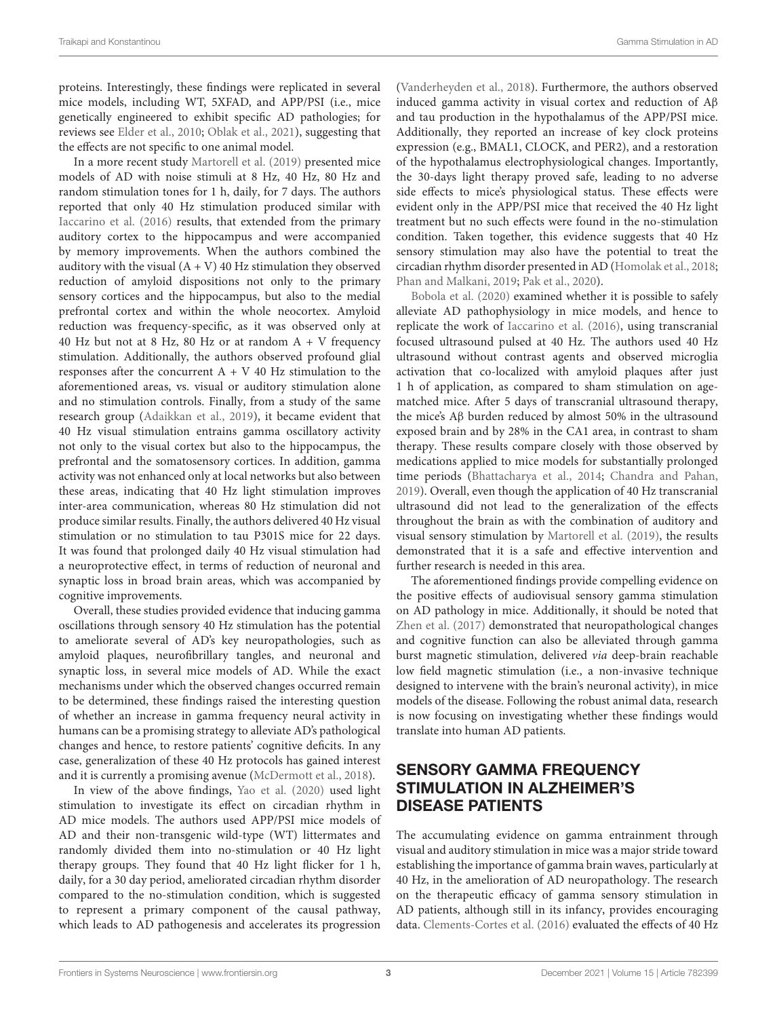proteins. Interestingly, these findings were replicated in several mice models, including WT, 5XFAD, and APP/PSI (i.e., mice genetically engineered to exhibit specific AD pathologies; for reviews see [Elder et al.,](#page-7-21) [2010;](#page-7-21) [Oblak et al.,](#page-7-22) [2021\)](#page-7-22), suggesting that the effects are not specific to one animal model.

In a more recent study [Martorell et al.](#page-7-23) [\(2019\)](#page-7-23) presented mice models of AD with noise stimuli at 8 Hz, 40 Hz, 80 Hz and random stimulation tones for 1 h, daily, for 7 days. The authors reported that only 40 Hz stimulation produced similar with [Iaccarino et al.](#page-7-18) [\(2016\)](#page-7-18) results, that extended from the primary auditory cortex to the hippocampus and were accompanied by memory improvements. When the authors combined the auditory with the visual  $(A + V)$  40 Hz stimulation they observed reduction of amyloid dispositions not only to the primary sensory cortices and the hippocampus, but also to the medial prefrontal cortex and within the whole neocortex. Amyloid reduction was frequency-specific, as it was observed only at 40 Hz but not at 8 Hz, 80 Hz or at random  $A + V$  frequency stimulation. Additionally, the authors observed profound glial responses after the concurrent  $A + V 40 Hz$  stimulation to the aforementioned areas, vs. visual or auditory stimulation alone and no stimulation controls. Finally, from a study of the same research group [\(Adaikkan et al.,](#page-6-9) [2019\)](#page-6-9), it became evident that 40 Hz visual stimulation entrains gamma oscillatory activity not only to the visual cortex but also to the hippocampus, the prefrontal and the somatosensory cortices. In addition, gamma activity was not enhanced only at local networks but also between these areas, indicating that 40 Hz light stimulation improves inter-area communication, whereas 80 Hz stimulation did not produce similar results. Finally, the authors delivered 40 Hz visual stimulation or no stimulation to tau P301S mice for 22 days. It was found that prolonged daily 40 Hz visual stimulation had a neuroprotective effect, in terms of reduction of neuronal and synaptic loss in broad brain areas, which was accompanied by cognitive improvements.

Overall, these studies provided evidence that inducing gamma oscillations through sensory 40 Hz stimulation has the potential to ameliorate several of AD's key neuropathologies, such as amyloid plaques, neurofibrillary tangles, and neuronal and synaptic loss, in several mice models of AD. While the exact mechanisms under which the observed changes occurred remain to be determined, these findings raised the interesting question of whether an increase in gamma frequency neural activity in humans can be a promising strategy to alleviate AD's pathological changes and hence, to restore patients' cognitive deficits. In any case, generalization of these 40 Hz protocols has gained interest and it is currently a promising avenue [\(McDermott et al.,](#page-7-24) [2018\)](#page-7-24).

In view of the above findings, [Yao et al.](#page-8-7) [\(2020\)](#page-8-7) used light stimulation to investigate its effect on circadian rhythm in AD mice models. The authors used APP/PSI mice models of AD and their non-transgenic wild-type (WT) littermates and randomly divided them into no-stimulation or 40 Hz light therapy groups. They found that 40 Hz light flicker for 1 h, daily, for a 30 day period, ameliorated circadian rhythm disorder compared to the no-stimulation condition, which is suggested to represent a primary component of the causal pathway, which leads to AD pathogenesis and accelerates its progression

[\(Vanderheyden et al.,](#page-8-8) [2018\)](#page-8-8). Furthermore, the authors observed induced gamma activity in visual cortex and reduction of Aβ and tau production in the hypothalamus of the APP/PSI mice. Additionally, they reported an increase of key clock proteins expression (e.g., BMAL1, CLOCK, and PER2), and a restoration of the hypothalamus electrophysiological changes. Importantly, the 30-days light therapy proved safe, leading to no adverse side effects to mice's physiological status. These effects were evident only in the APP/PSI mice that received the 40 Hz light treatment but no such effects were found in the no-stimulation condition. Taken together, this evidence suggests that 40 Hz sensory stimulation may also have the potential to treat the circadian rhythm disorder presented in AD [\(Homolak et al.,](#page-7-25) [2018;](#page-7-25) [Phan and Malkani,](#page-7-26) [2019;](#page-7-26) [Pak et al.,](#page-7-27) [2020\)](#page-7-27).

[Bobola et al.](#page-6-10) [\(2020\)](#page-6-10) examined whether it is possible to safely alleviate AD pathophysiology in mice models, and hence to replicate the work of [Iaccarino et al.](#page-7-18) [\(2016\)](#page-7-18), using transcranial focused ultrasound pulsed at 40 Hz. The authors used 40 Hz ultrasound without contrast agents and observed microglia activation that co-localized with amyloid plaques after just 1 h of application, as compared to sham stimulation on agematched mice. After 5 days of transcranial ultrasound therapy, the mice's Aβ burden reduced by almost 50% in the ultrasound exposed brain and by 28% in the CA1 area, in contrast to sham therapy. These results compare closely with those observed by medications applied to mice models for substantially prolonged time periods [\(Bhattacharya et al.,](#page-6-11) [2014;](#page-6-11) [Chandra and Pahan,](#page-6-12) [2019\)](#page-6-12). Overall, even though the application of 40 Hz transcranial ultrasound did not lead to the generalization of the effects throughout the brain as with the combination of auditory and visual sensory stimulation by [Martorell et al.](#page-7-23) [\(2019\)](#page-7-23), the results demonstrated that it is a safe and effective intervention and further research is needed in this area.

The aforementioned findings provide compelling evidence on the positive effects of audiovisual sensory gamma stimulation on AD pathology in mice. Additionally, it should be noted that [Zhen et al.](#page-8-9) [\(2017\)](#page-8-9) demonstrated that neuropathological changes and cognitive function can also be alleviated through gamma burst magnetic stimulation, delivered via deep-brain reachable low field magnetic stimulation (i.e., a non-invasive technique designed to intervene with the brain's neuronal activity), in mice models of the disease. Following the robust animal data, research is now focusing on investigating whether these findings would translate into human AD patients.

# SENSORY GAMMA FREQUENCY STIMULATION IN ALZHEIMER'S DISEASE PATIENTS

The accumulating evidence on gamma entrainment through visual and auditory stimulation in mice was a major stride toward establishing the importance of gamma brain waves, particularly at 40 Hz, in the amelioration of AD neuropathology. The research on the therapeutic efficacy of gamma sensory stimulation in AD patients, although still in its infancy, provides encouraging data. [Clements-Cortes et al.](#page-6-13) [\(2016\)](#page-6-13) evaluated the effects of 40 Hz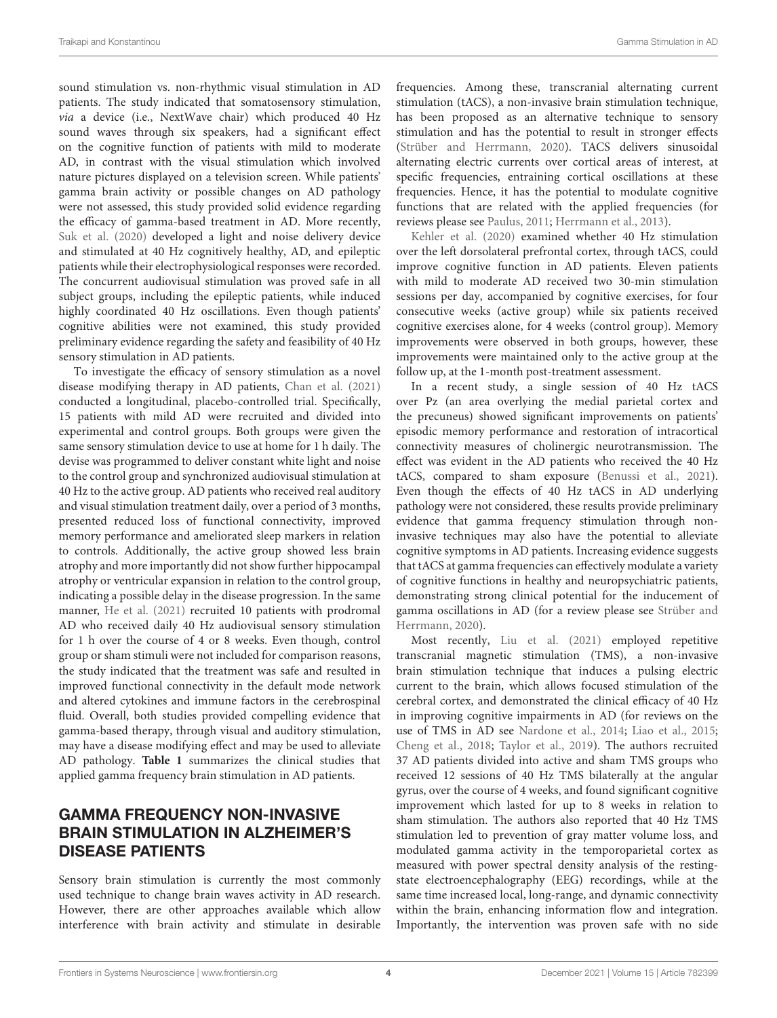sound stimulation vs. non-rhythmic visual stimulation in AD patients. The study indicated that somatosensory stimulation, via a device (i.e., NextWave chair) which produced 40 Hz sound waves through six speakers, had a significant effect on the cognitive function of patients with mild to moderate AD, in contrast with the visual stimulation which involved nature pictures displayed on a television screen. While patients' gamma brain activity or possible changes on AD pathology were not assessed, this study provided solid evidence regarding the efficacy of gamma-based treatment in AD. More recently, [Suk et al.](#page-7-28) [\(2020\)](#page-7-28) developed a light and noise delivery device and stimulated at 40 Hz cognitively healthy, AD, and epileptic patients while their electrophysiological responses were recorded. The concurrent audiovisual stimulation was proved safe in all subject groups, including the epileptic patients, while induced highly coordinated 40 Hz oscillations. Even though patients' cognitive abilities were not examined, this study provided preliminary evidence regarding the safety and feasibility of 40 Hz sensory stimulation in AD patients.

To investigate the efficacy of sensory stimulation as a novel disease modifying therapy in AD patients, [Chan et al.](#page-6-14) [\(2021\)](#page-6-14) conducted a longitudinal, placebo-controlled trial. Specifically, 15 patients with mild AD were recruited and divided into experimental and control groups. Both groups were given the same sensory stimulation device to use at home for 1 h daily. The devise was programmed to deliver constant white light and noise to the control group and synchronized audiovisual stimulation at 40 Hz to the active group. AD patients who received real auditory and visual stimulation treatment daily, over a period of 3 months, presented reduced loss of functional connectivity, improved memory performance and ameliorated sleep markers in relation to controls. Additionally, the active group showed less brain atrophy and more importantly did not show further hippocampal atrophy or ventricular expansion in relation to the control group, indicating a possible delay in the disease progression. In the same manner, [He et al.](#page-7-29) [\(2021\)](#page-7-29) recruited 10 patients with prodromal AD who received daily 40 Hz audiovisual sensory stimulation for 1 h over the course of 4 or 8 weeks. Even though, control group or sham stimuli were not included for comparison reasons, the study indicated that the treatment was safe and resulted in improved functional connectivity in the default mode network and altered cytokines and immune factors in the cerebrospinal fluid. Overall, both studies provided compelling evidence that gamma-based therapy, through visual and auditory stimulation, may have a disease modifying effect and may be used to alleviate AD pathology. **[Table 1](#page-4-0)** summarizes the clinical studies that applied gamma frequency brain stimulation in AD patients.

# GAMMA FREQUENCY NON-INVASIVE BRAIN STIMULATION IN ALZHEIMER'S DISEASE PATIENTS

Sensory brain stimulation is currently the most commonly used technique to change brain waves activity in AD research. However, there are other approaches available which allow interference with brain activity and stimulate in desirable frequencies. Among these, transcranial alternating current stimulation (tACS), a non-invasive brain stimulation technique, has been proposed as an alternative technique to sensory stimulation and has the potential to result in stronger effects [\(Strüber and Herrmann,](#page-7-30) [2020\)](#page-7-30). TACS delivers sinusoidal alternating electric currents over cortical areas of interest, at specific frequencies, entraining cortical oscillations at these frequencies. Hence, it has the potential to modulate cognitive functions that are related with the applied frequencies (for reviews please see [Paulus,](#page-7-31) [2011;](#page-7-31) [Herrmann et al.,](#page-7-32) [2013\)](#page-7-32).

[Kehler et al.](#page-7-33) [\(2020\)](#page-7-33) examined whether 40 Hz stimulation over the left dorsolateral prefrontal cortex, through tACS, could improve cognitive function in AD patients. Eleven patients with mild to moderate AD received two 30-min stimulation sessions per day, accompanied by cognitive exercises, for four consecutive weeks (active group) while six patients received cognitive exercises alone, for 4 weeks (control group). Memory improvements were observed in both groups, however, these improvements were maintained only to the active group at the follow up, at the 1-month post-treatment assessment.

In a recent study, a single session of 40 Hz tACS over Pz (an area overlying the medial parietal cortex and the precuneus) showed significant improvements on patients' episodic memory performance and restoration of intracortical connectivity measures of cholinergic neurotransmission. The effect was evident in the AD patients who received the 40 Hz tACS, compared to sham exposure [\(Benussi et al.,](#page-6-15) [2021\)](#page-6-15). Even though the effects of 40 Hz tACS in AD underlying pathology were not considered, these results provide preliminary evidence that gamma frequency stimulation through noninvasive techniques may also have the potential to alleviate cognitive symptoms in AD patients. Increasing evidence suggests that tACS at gamma frequencies can effectively modulate a variety of cognitive functions in healthy and neuropsychiatric patients, demonstrating strong clinical potential for the inducement of gamma oscillations in AD (for a review please see [Strüber and](#page-7-30) [Herrmann,](#page-7-30) [2020\)](#page-7-30).

Most recently, [Liu et al.](#page-7-34) [\(2021\)](#page-7-34) employed repetitive transcranial magnetic stimulation (TMS), a non-invasive brain stimulation technique that induces a pulsing electric current to the brain, which allows focused stimulation of the cerebral cortex, and demonstrated the clinical efficacy of 40 Hz in improving cognitive impairments in AD (for reviews on the use of TMS in AD see [Nardone et al.,](#page-7-35) [2014;](#page-7-35) [Liao et al.,](#page-7-36) [2015;](#page-7-36) [Cheng et al.,](#page-6-16) [2018;](#page-6-16) [Taylor et al.,](#page-8-10) [2019\)](#page-8-10). The authors recruited 37 AD patients divided into active and sham TMS groups who received 12 sessions of 40 Hz TMS bilaterally at the angular gyrus, over the course of 4 weeks, and found significant cognitive improvement which lasted for up to 8 weeks in relation to sham stimulation. The authors also reported that 40 Hz TMS stimulation led to prevention of gray matter volume loss, and modulated gamma activity in the temporoparietal cortex as measured with power spectral density analysis of the restingstate electroencephalography (EEG) recordings, while at the same time increased local, long-range, and dynamic connectivity within the brain, enhancing information flow and integration. Importantly, the intervention was proven safe with no side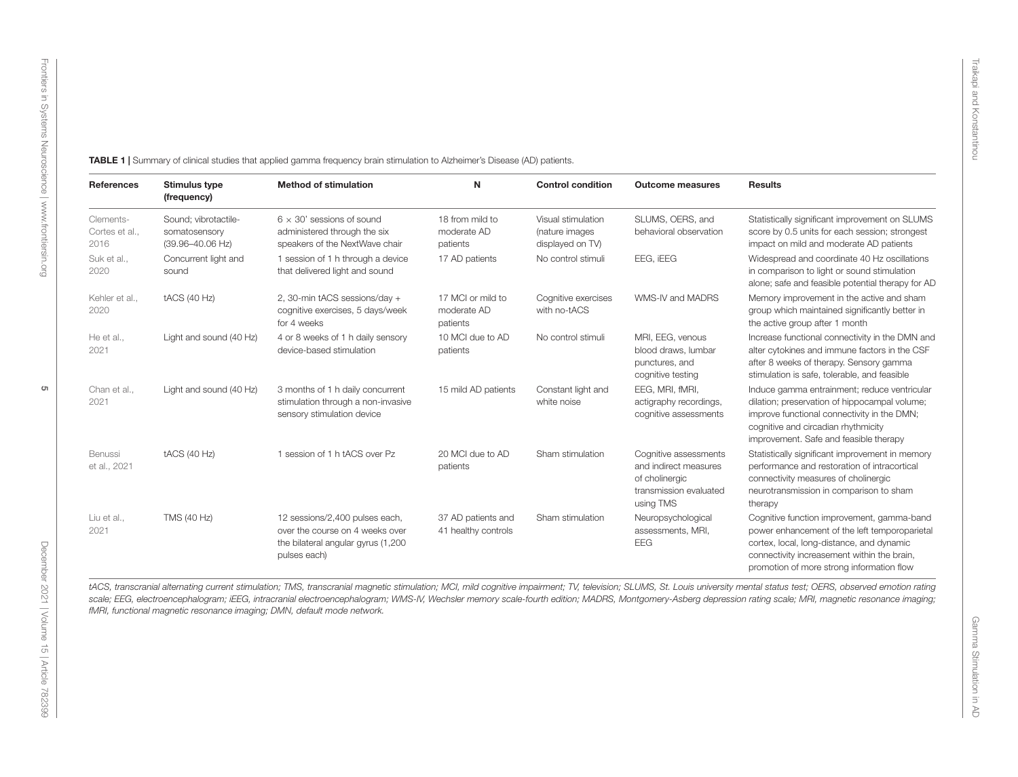<span id="page-4-0"></span>

| <b>References</b>                   | <b>Stimulus type</b><br>(frequency)                                   | <b>Method of stimulation</b>                                                                                             | N                                            | <b>Control condition</b>                                 | <b>Outcome measures</b>                                                                                 | <b>Results</b>                                                                                                                                                                                                                       |
|-------------------------------------|-----------------------------------------------------------------------|--------------------------------------------------------------------------------------------------------------------------|----------------------------------------------|----------------------------------------------------------|---------------------------------------------------------------------------------------------------------|--------------------------------------------------------------------------------------------------------------------------------------------------------------------------------------------------------------------------------------|
| Clements-<br>Cortes et al.,<br>2016 | Sound; vibrotactile-<br>somatosensory<br>$(39.96 - 40.06 \text{ Hz})$ | $6 \times 30'$ sessions of sound<br>administered through the six<br>speakers of the NextWave chair                       | 18 from mild to<br>moderate AD<br>patients   | Visual stimulation<br>(nature images<br>displayed on TV) | SLUMS, OERS, and<br>behavioral observation                                                              | Statistically significant improvement on SLUMS<br>score by 0.5 units for each session; strongest<br>impact on mild and moderate AD patients                                                                                          |
| Suk et al.,<br>2020                 | Concurrent light and<br>sound                                         | 1 session of 1 h through a device<br>that delivered light and sound                                                      | 17 AD patients                               | No control stimuli                                       | EEG, IEEG                                                                                               | Widespread and coordinate 40 Hz oscillations<br>in comparison to light or sound stimulation<br>alone; safe and feasible potential therapy for AD                                                                                     |
| Kehler et al.,<br>2020              | <b>tACS (40 Hz)</b>                                                   | 2, 30-min tACS sessions/day +<br>cognitive exercises, 5 days/week<br>for 4 weeks                                         | 17 MCI or mild to<br>moderate AD<br>patients | Cognitive exercises<br>with no-tACS                      | WMS-IV and MADRS                                                                                        | Memory improvement in the active and sham<br>group which maintained significantly better in<br>the active group after 1 month                                                                                                        |
| He et al.,<br>2021                  | Light and sound (40 Hz)                                               | 4 or 8 weeks of 1 h daily sensory<br>device-based stimulation                                                            | 10 MCI due to AD<br>patients                 | No control stimuli                                       | MRI, EEG, venous<br>blood draws, lumbar<br>punctures, and<br>cognitive testing                          | Increase functional connectivity in the DMN and<br>alter cytokines and immune factors in the CSF<br>after 8 weeks of therapy. Sensory gamma<br>stimulation is safe, tolerable, and feasible                                          |
| Chan et al.,<br>2021                | Light and sound (40 Hz)                                               | 3 months of 1 h daily concurrent<br>stimulation through a non-invasive<br>sensory stimulation device                     | 15 mild AD patients                          | Constant light and<br>white noise                        | EEG, MRI, fMRI,<br>actigraphy recordings,<br>cognitive assessments                                      | Induce gamma entrainment; reduce ventricular<br>dilation; preservation of hippocampal volume;<br>improve functional connectivity in the DMN;<br>cognitive and circadian rhythmicity<br>improvement. Safe and feasible therapy        |
| Benussi<br>et al., 2021             | tACS (40 Hz)                                                          | 1 session of 1 h tACS over Pz                                                                                            | 20 MCI due to AD<br>patients                 | Sham stimulation                                         | Cognitive assessments<br>and indirect measures<br>of cholinergic<br>transmission evaluated<br>using TMS | Statistically significant improvement in memory<br>performance and restoration of intracortical<br>connectivity measures of cholinergic<br>neurotransmission in comparison to sham<br>therapy                                        |
| Liu et al.,<br>2021                 | TMS (40 Hz)                                                           | 12 sessions/2,400 pulses each,<br>over the course on 4 weeks over<br>the bilateral angular gyrus (1,200)<br>pulses each) | 37 AD patients and<br>41 healthy controls    | Sham stimulation                                         | Neuropsychological<br>assessments, MRI,<br><b>EEG</b>                                                   | Cognitive function improvement, gamma-band<br>power enhancement of the left temporoparietal<br>cortex, local, long-distance, and dynamic<br>connectivity increasement within the brain,<br>promotion of more strong information flow |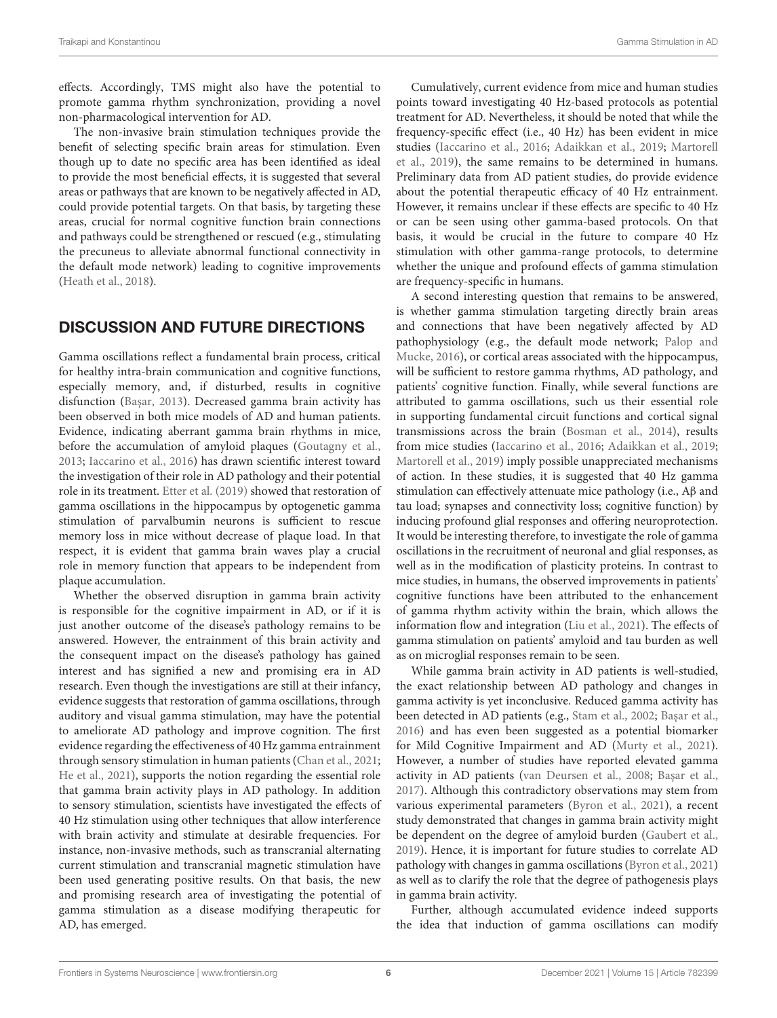effects. Accordingly, TMS might also have the potential to promote gamma rhythm synchronization, providing a novel non-pharmacological intervention for AD.

The non-invasive brain stimulation techniques provide the benefit of selecting specific brain areas for stimulation. Even though up to date no specific area has been identified as ideal to provide the most beneficial effects, it is suggested that several areas or pathways that are known to be negatively affected in AD, could provide potential targets. On that basis, by targeting these areas, crucial for normal cognitive function brain connections and pathways could be strengthened or rescued (e.g., stimulating the precuneus to alleviate abnormal functional connectivity in the default mode network) leading to cognitive improvements [\(Heath et al.,](#page-7-41) [2018\)](#page-7-41).

## DISCUSSION AND FUTURE DIRECTIONS

Gamma oscillations reflect a fundamental brain process, critical for healthy intra-brain communication and cognitive functions, especially memory, and, if disturbed, results in cognitive disfunction (Başar, [2013\)](#page-6-20). Decreased gamma brain activity has been observed in both mice models of AD and human patients. Evidence, indicating aberrant gamma brain rhythms in mice, before the accumulation of amyloid plaques [\(Goutagny et al.,](#page-7-15) [2013;](#page-7-15) [Iaccarino et al.,](#page-7-18) [2016\)](#page-7-18) has drawn scientific interest toward the investigation of their role in AD pathology and their potential role in its treatment. [Etter et al.](#page-7-19) [\(2019\)](#page-7-19) showed that restoration of gamma oscillations in the hippocampus by optogenetic gamma stimulation of parvalbumin neurons is sufficient to rescue memory loss in mice without decrease of plaque load. In that respect, it is evident that gamma brain waves play a crucial role in memory function that appears to be independent from plaque accumulation.

Whether the observed disruption in gamma brain activity is responsible for the cognitive impairment in AD, or if it is just another outcome of the disease's pathology remains to be answered. However, the entrainment of this brain activity and the consequent impact on the disease's pathology has gained interest and has signified a new and promising era in AD research. Even though the investigations are still at their infancy, evidence suggests that restoration of gamma oscillations, through auditory and visual gamma stimulation, may have the potential to ameliorate AD pathology and improve cognition. The first evidence regarding the effectiveness of 40 Hz gamma entrainment through sensory stimulation in human patients [\(Chan et al.,](#page-6-14) [2021;](#page-6-14) [He et al.,](#page-7-29) [2021\)](#page-7-29), supports the notion regarding the essential role that gamma brain activity plays in AD pathology. In addition to sensory stimulation, scientists have investigated the effects of 40 Hz stimulation using other techniques that allow interference with brain activity and stimulate at desirable frequencies. For instance, non-invasive methods, such as transcranial alternating current stimulation and transcranial magnetic stimulation have been used generating positive results. On that basis, the new and promising research area of investigating the potential of gamma stimulation as a disease modifying therapeutic for AD, has emerged.

Cumulatively, current evidence from mice and human studies points toward investigating 40 Hz-based protocols as potential treatment for AD. Nevertheless, it should be noted that while the frequency-specific effect (i.e., 40 Hz) has been evident in mice studies [\(Iaccarino et al.,](#page-7-18) [2016;](#page-7-18) [Adaikkan et al.,](#page-6-9) [2019;](#page-6-9) [Martorell](#page-7-23) [et al.,](#page-7-23) [2019\)](#page-7-23), the same remains to be determined in humans. Preliminary data from AD patient studies, do provide evidence about the potential therapeutic efficacy of 40 Hz entrainment. However, it remains unclear if these effects are specific to 40 Hz or can be seen using other gamma-based protocols. On that basis, it would be crucial in the future to compare 40 Hz stimulation with other gamma-range protocols, to determine whether the unique and profound effects of gamma stimulation are frequency-specific in humans.

A second interesting question that remains to be answered, is whether gamma stimulation targeting directly brain areas and connections that have been negatively affected by AD pathophysiology (e.g., the default mode network; [Palop and](#page-7-17) [Mucke,](#page-7-17) [2016\)](#page-7-17), or cortical areas associated with the hippocampus, will be sufficient to restore gamma rhythms, AD pathology, and patients' cognitive function. Finally, while several functions are attributed to gamma oscillations, such us their essential role in supporting fundamental circuit functions and cortical signal transmissions across the brain [\(Bosman et al.,](#page-6-3) [2014\)](#page-6-3), results from mice studies [\(Iaccarino et al.,](#page-7-18) [2016;](#page-7-18) [Adaikkan et al.,](#page-6-9) [2019;](#page-6-9) [Martorell et al.,](#page-7-23) [2019\)](#page-7-23) imply possible unappreciated mechanisms of action. In these studies, it is suggested that 40 Hz gamma stimulation can effectively attenuate mice pathology (i.e., Aβ and tau load; synapses and connectivity loss; cognitive function) by inducing profound glial responses and offering neuroprotection. It would be interesting therefore, to investigate the role of gamma oscillations in the recruitment of neuronal and glial responses, as well as in the modification of plasticity proteins. In contrast to mice studies, in humans, the observed improvements in patients' cognitive functions have been attributed to the enhancement of gamma rhythm activity within the brain, which allows the information flow and integration [\(Liu et al.,](#page-7-34) [2021\)](#page-7-34). The effects of gamma stimulation on patients' amyloid and tau burden as well as on microglial responses remain to be seen.

While gamma brain activity in AD patients is well-studied, the exact relationship between AD pathology and changes in gamma activity is yet inconclusive. Reduced gamma activity has been detected in AD patients (e.g., [Stam et al.,](#page-7-42) [2002;](#page-7-42) Başar et al., [2016\)](#page-6-21) and has even been suggested as a potential biomarker for Mild Cognitive Impairment and AD [\(Murty et al.,](#page-7-43) [2021\)](#page-7-43). However, a number of studies have reported elevated gamma activity in AD patients [\(van Deursen et al.,](#page-8-11) [2008;](#page-8-11) Başar et al., [2017\)](#page-6-22). Although this contradictory observations may stem from various experimental parameters [\(Byron et al.,](#page-6-23) [2021\)](#page-6-23), a recent study demonstrated that changes in gamma brain activity might be dependent on the degree of amyloid burden [\(Gaubert et al.,](#page-7-44) [2019\)](#page-7-44). Hence, it is important for future studies to correlate AD pathology with changes in gamma oscillations [\(Byron et al.,](#page-6-23) [2021\)](#page-6-23) as well as to clarify the role that the degree of pathogenesis plays in gamma brain activity.

Further, although accumulated evidence indeed supports the idea that induction of gamma oscillations can modify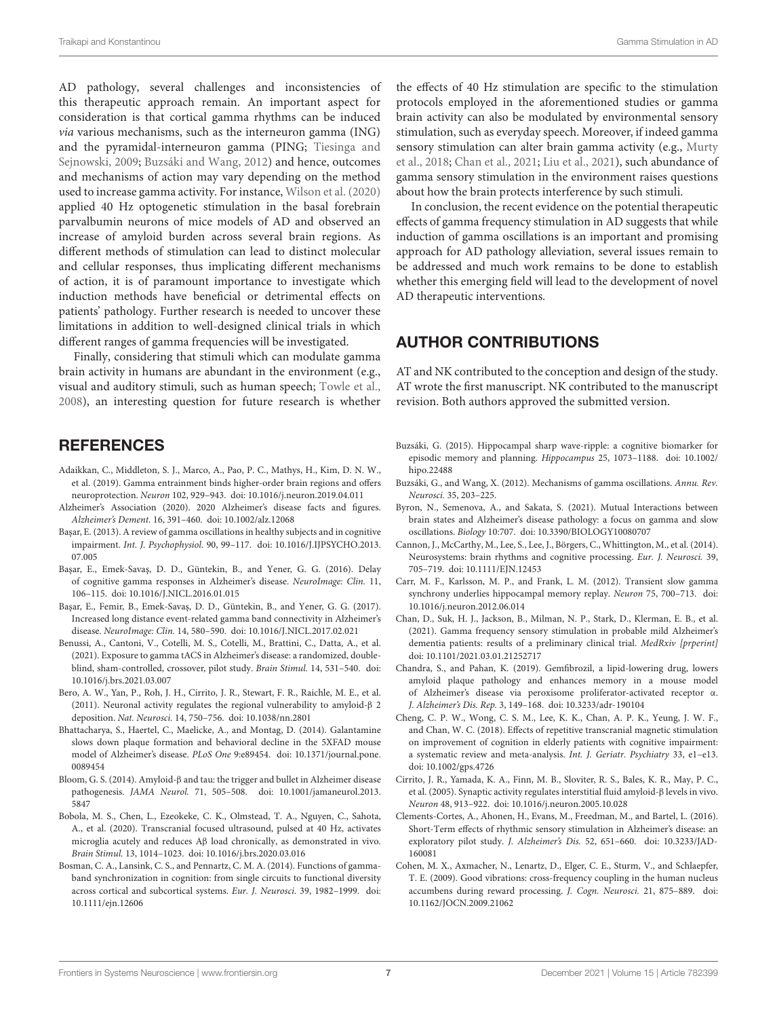AD pathology, several challenges and inconsistencies of this therapeutic approach remain. An important aspect for consideration is that cortical gamma rhythms can be induced via various mechanisms, such as the interneuron gamma (ING) and the pyramidal-interneuron gamma (PING; [Tiesinga and](#page-8-12) [Sejnowski,](#page-8-12) [2009;](#page-8-12) [Buzsáki and Wang,](#page-6-24) [2012\)](#page-6-24) and hence, outcomes and mechanisms of action may vary depending on the method used to increase gamma activity. For instance, [Wilson et al.](#page-8-13) [\(2020\)](#page-8-13) applied 40 Hz optogenetic stimulation in the basal forebrain parvalbumin neurons of mice models of AD and observed an increase of amyloid burden across several brain regions. As different methods of stimulation can lead to distinct molecular and cellular responses, thus implicating different mechanisms of action, it is of paramount importance to investigate which induction methods have beneficial or detrimental effects on patients' pathology. Further research is needed to uncover these limitations in addition to well-designed clinical trials in which different ranges of gamma frequencies will be investigated.

<span id="page-6-17"></span>Finally, considering that stimuli which can modulate gamma brain activity in humans are abundant in the environment (e.g., visual and auditory stimuli, such as human speech; [Towle et al.,](#page-8-14) [2008\)](#page-8-14), an interesting question for future research is whether

## **REFERENCES**

- <span id="page-6-9"></span>Adaikkan, C., Middleton, S. J., Marco, A., Pao, P. C., Mathys, H., Kim, D. N. W., et al. (2019). Gamma entrainment binds higher-order brain regions and offers neuroprotection. Neuron 102, 929–943. [doi: 10.1016/j.neuron.2019.04.011](https://doi.org/10.1016/j.neuron.2019.04.011)
- <span id="page-6-0"></span>Alzheimer's Association (2020). 2020 Alzheimer's disease facts and figures. Alzheimer's Dement. 16, 391–460. [doi: 10.1002/alz.12068](https://doi.org/10.1002/alz.12068)
- <span id="page-6-20"></span>Başar, E. (2013). A review of gamma oscillations in healthy subjects and in cognitive impairment. Int. J. Psychophysiol. 90, 99–117. [doi: 10.1016/J.IJPSYCHO.2013.](https://doi.org/10.1016/J.IJPSYCHO.2013.07.005) [07.005](https://doi.org/10.1016/J.IJPSYCHO.2013.07.005)
- <span id="page-6-21"></span>Başar, E., Emek-Savaş, D. D., Güntekin, B., and Yener, G. G. (2016). Delay of cognitive gamma responses in Alzheimer's disease. NeuroImage: Clin. 11, 106–115. [doi: 10.1016/J.NICL.2016.01.015](https://doi.org/10.1016/J.NICL.2016.01.015)
- <span id="page-6-22"></span>Başar, E., Femir, B., Emek-Savaş, D. D., Güntekin, B., and Yener, G. G. (2017). Increased long distance event-related gamma band connectivity in Alzheimer's disease. NeuroImage: Clin. 14, 580–590. [doi: 10.1016/J.NICL.2017.02.021](https://doi.org/10.1016/J.NICL.2017.02.021)
- <span id="page-6-15"></span>Benussi, A., Cantoni, V., Cotelli, M. S., Cotelli, M., Brattini, C., Datta, A., et al. (2021). Exposure to gamma tACS in Alzheimer's disease: a randomized, doubleblind, sham-controlled, crossover, pilot study. Brain Stimul. 14, 531–540. [doi:](https://doi.org/10.1016/j.brs.2021.03.007) [10.1016/j.brs.2021.03.007](https://doi.org/10.1016/j.brs.2021.03.007)
- <span id="page-6-8"></span>Bero, A. W., Yan, P., Roh, J. H., Cirrito, J. R., Stewart, F. R., Raichle, M. E., et al. (2011). Neuronal activity regulates the regional vulnerability to amyloid-β 2 deposition. Nat. Neurosci. 14, 750–756. [doi: 10.1038/nn.2801](https://doi.org/10.1038/nn.2801)
- <span id="page-6-11"></span>Bhattacharya, S., Haertel, C., Maelicke, A., and Montag, D. (2014). Galantamine slows down plaque formation and behavioral decline in the 5XFAD mouse model of Alzheimer's disease. PLoS One 9:e89454. [doi: 10.1371/journal.pone.](https://doi.org/10.1371/journal.pone.0089454) [0089454](https://doi.org/10.1371/journal.pone.0089454)
- <span id="page-6-1"></span>Bloom, G. S. (2014). Amyloid-β and tau: the trigger and bullet in Alzheimer disease pathogenesis. JAMA Neurol. 71, 505–508. [doi: 10.1001/jamaneurol.2013.](https://doi.org/10.1001/jamaneurol.2013.5847) [5847](https://doi.org/10.1001/jamaneurol.2013.5847)
- <span id="page-6-10"></span>Bobola, M. S., Chen, L., Ezeokeke, C. K., Olmstead, T. A., Nguyen, C., Sahota, A., et al. (2020). Transcranial focused ultrasound, pulsed at 40 Hz, activates microglia acutely and reduces Aβ load chronically, as demonstrated in vivo. Brain Stimul. 13, 1014–1023. [doi: 10.1016/j.brs.2020.03.016](https://doi.org/10.1016/j.brs.2020.03.016)
- <span id="page-6-3"></span>Bosman, C. A., Lansink, C. S., and Pennartz, C. M. A. (2014). Functions of gammaband synchronization in cognition: from single circuits to functional diversity across cortical and subcortical systems. Eur. J. Neurosci. 39, 1982–1999. [doi:](https://doi.org/10.1111/ejn.12606) [10.1111/ejn.12606](https://doi.org/10.1111/ejn.12606)

<span id="page-6-19"></span>the effects of 40 Hz stimulation are specific to the stimulation protocols employed in the aforementioned studies or gamma brain activity can also be modulated by environmental sensory stimulation, such as everyday speech. Moreover, if indeed gamma sensory stimulation can alter brain gamma activity (e.g., [Murty](#page-7-8) [et al.,](#page-7-8) [2018;](#page-7-8) [Chan et al.,](#page-6-14) [2021;](#page-6-14) [Liu et al.,](#page-7-34) [2021\)](#page-7-34), such abundance of gamma sensory stimulation in the environment raises questions about how the brain protects interference by such stimuli.

In conclusion, the recent evidence on the potential therapeutic effects of gamma frequency stimulation in AD suggests that while induction of gamma oscillations is an important and promising approach for AD pathology alleviation, several issues remain to be addressed and much work remains to be done to establish whether this emerging field will lead to the development of novel AD therapeutic interventions.

### AUTHOR CONTRIBUTIONS

<span id="page-6-18"></span>AT and NK contributed to the conception and design of the study. AT wrote the first manuscript. NK contributed to the manuscript revision. Both authors approved the submitted version.

- <span id="page-6-6"></span>Buzsáki, G. (2015). Hippocampal sharp wave-ripple: a cognitive biomarker for episodic memory and planning. Hippocampus 25, 1073–1188. [doi: 10.1002/](https://doi.org/10.1002/hipo.22488) [hipo.22488](https://doi.org/10.1002/hipo.22488)
- <span id="page-6-24"></span>Buzsáki, G., and Wang, X. (2012). Mechanisms of gamma oscillations. Annu. Rev. Neurosci. 35, 203–225.
- <span id="page-6-23"></span>Byron, N., Semenova, A., and Sakata, S. (2021). Mutual Interactions between brain states and Alzheimer's disease pathology: a focus on gamma and slow oscillations. Biology 10:707. [doi: 10.3390/BIOLOGY10080707](https://doi.org/10.3390/BIOLOGY10080707)
- <span id="page-6-4"></span>Cannon, J., McCarthy, M., Lee, S., Lee, J., Börgers, C., Whittington, M., et al. (2014). Neurosystems: brain rhythms and cognitive processing. Eur. J. Neurosci. 39, 705–719. [doi: 10.1111/EJN.12453](https://doi.org/10.1111/EJN.12453)
- <span id="page-6-5"></span>Carr, M. F., Karlsson, M. P., and Frank, L. M. (2012). Transient slow gamma synchrony underlies hippocampal memory replay. Neuron 75, 700–713. [doi:](https://doi.org/10.1016/j.neuron.2012.06.014) [10.1016/j.neuron.2012.06.014](https://doi.org/10.1016/j.neuron.2012.06.014)
- <span id="page-6-14"></span>Chan, D., Suk, H. J., Jackson, B., Milman, N. P., Stark, D., Klerman, E. B., et al. (2021). Gamma frequency sensory stimulation in probable mild Alzheimer's dementia patients: results of a preliminary clinical trial. MedRxiv [prperint] [doi: 10.1101/2021.03.01.21252717](https://doi.org/10.1101/2021.03.01.21252717)
- <span id="page-6-12"></span>Chandra, S., and Pahan, K. (2019). Gemfibrozil, a lipid-lowering drug, lowers amyloid plaque pathology and enhances memory in a mouse model of Alzheimer's disease via peroxisome proliferator-activated receptor α. J. Alzheimer's Dis. Rep. 3, 149–168. [doi: 10.3233/adr-190104](https://doi.org/10.3233/adr-190104)
- <span id="page-6-16"></span>Cheng, C. P. W., Wong, C. S. M., Lee, K. K., Chan, A. P. K., Yeung, J. W. F., and Chan, W. C. (2018). Effects of repetitive transcranial magnetic stimulation on improvement of cognition in elderly patients with cognitive impairment: a systematic review and meta-analysis. Int. J. Geriatr. Psychiatry 33, e1–e13. [doi: 10.1002/gps.4726](https://doi.org/10.1002/gps.4726)
- <span id="page-6-7"></span>Cirrito, J. R., Yamada, K. A., Finn, M. B., Sloviter, R. S., Bales, K. R., May, P. C., et al. (2005). Synaptic activity regulates interstitial fluid amyloid-β levels in vivo. Neuron 48, 913–922. [doi: 10.1016/j.neuron.2005.10.028](https://doi.org/10.1016/j.neuron.2005.10.028)
- <span id="page-6-13"></span>Clements-Cortes, A., Ahonen, H., Evans, M., Freedman, M., and Bartel, L. (2016). Short-Term effects of rhythmic sensory stimulation in Alzheimer's disease: an exploratory pilot study. J. Alzheimer's Dis. 52, 651–660. [doi: 10.3233/JAD-](https://doi.org/10.3233/JAD-160081)[160081](https://doi.org/10.3233/JAD-160081)
- <span id="page-6-2"></span>Cohen, M. X., Axmacher, N., Lenartz, D., Elger, C. E., Sturm, V., and Schlaepfer, T. E. (2009). Good vibrations: cross-frequency coupling in the human nucleus accumbens during reward processing. J. Cogn. Neurosci. 21, 875–889. [doi:](https://doi.org/10.1162/JOCN.2009.21062) [10.1162/JOCN.2009.21062](https://doi.org/10.1162/JOCN.2009.21062)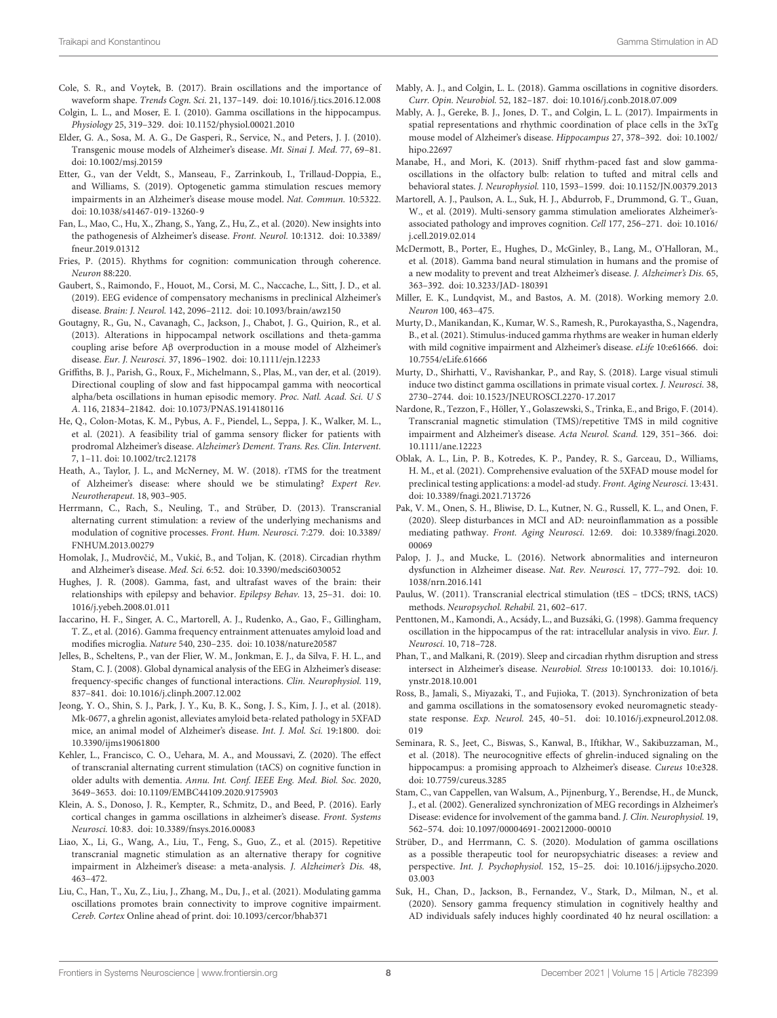- <span id="page-7-40"></span><span id="page-7-11"></span>Cole, S. R., and Voytek, B. (2017). Brain oscillations and the importance of waveform shape. Trends Cogn. Sci. 21, 137–149. [doi: 10.1016/j.tics.2016.12.008](https://doi.org/10.1016/j.tics.2016.12.008)
- <span id="page-7-12"></span>Colgin, L. L., and Moser, E. I. (2010). Gamma oscillations in the hippocampus. Physiology 25, 319–329. [doi: 10.1152/physiol.00021.2010](https://doi.org/10.1152/physiol.00021.2010)
- <span id="page-7-21"></span>Elder, G. A., Sosa, M. A. G., De Gasperi, R., Service, N., and Peters, J. J. (2010). Transgenic mouse models of Alzheimer's disease. Mt. Sinai J. Med. 77, 69–81. [doi: 10.1002/msj.20159](https://doi.org/10.1002/msj.20159)
- <span id="page-7-19"></span>Etter, G., van der Veldt, S., Manseau, F., Zarrinkoub, I., Trillaud-Doppia, E., and Williams, S. (2019). Optogenetic gamma stimulation rescues memory impairments in an Alzheimer's disease mouse model. Nat. Commun. 10:5322. [doi: 10.1038/s41467-019-13260-9](https://doi.org/10.1038/s41467-019-13260-9)
- <span id="page-7-0"></span>Fan, L., Mao, C., Hu, X., Zhang, S., Yang, Z., Hu, Z., et al. (2020). New insights into the pathogenesis of Alzheimer's disease. Front. Neurol. 10:1312. [doi: 10.3389/](https://doi.org/10.3389/fneur.2019.01312) [fneur.2019.01312](https://doi.org/10.3389/fneur.2019.01312)
- <span id="page-7-10"></span>Fries, P. (2015). Rhythms for cognition: communication through coherence. Neuron 88:220.
- <span id="page-7-44"></span>Gaubert, S., Raimondo, F., Houot, M., Corsi, M. C., Naccache, L., Sitt, J. D., et al. (2019). EEG evidence of compensatory mechanisms in preclinical Alzheimer's disease. Brain: J. Neurol. 142, 2096–2112. [doi: 10.1093/brain/awz150](https://doi.org/10.1093/brain/awz150)
- <span id="page-7-15"></span>Goutagny, R., Gu, N., Cavanagh, C., Jackson, J., Chabot, J. G., Quirion, R., et al. (2013). Alterations in hippocampal network oscillations and theta-gamma coupling arise before Aβ overproduction in a mouse model of Alzheimer's disease. Eur. J. Neurosci. 37, 1896–1902. [doi: 10.1111/ejn.12233](https://doi.org/10.1111/ejn.12233)
- <span id="page-7-37"></span><span id="page-7-7"></span>Griffiths, B. J., Parish, G., Roux, F., Michelmann, S., Plas, M., van der, et al. (2019). Directional coupling of slow and fast hippocampal gamma with neocortical alpha/beta oscillations in human episodic memory. Proc. Natl. Acad. Sci. U S A. 116, 21834–21842. [doi: 10.1073/PNAS.1914180116](https://doi.org/10.1073/PNAS.1914180116)
- <span id="page-7-29"></span>He, Q., Colon-Motas, K. M., Pybus, A. F., Piendel, L., Seppa, J. K., Walker, M. L., et al. (2021). A feasibility trial of gamma sensory flicker for patients with prodromal Alzheimer's disease. Alzheimer's Dement. Trans. Res. Clin. Intervent. 7, 1–11. [doi: 10.1002/trc2.12178](https://doi.org/10.1002/trc2.12178)
- <span id="page-7-41"></span>Heath, A., Taylor, J. L., and McNerney, M. W. (2018). rTMS for the treatment of Alzheimer's disease: where should we be stimulating? Expert Rev. Neurotherapeut. 18, 903–905.
- <span id="page-7-32"></span>Herrmann, C., Rach, S., Neuling, T., and Strüber, D. (2013). Transcranial alternating current stimulation: a review of the underlying mechanisms and modulation of cognitive processes. Front. Hum. Neurosci. 7:279. [doi: 10.3389/](https://doi.org/10.3389/FNHUM.2013.00279) [FNHUM.2013.00279](https://doi.org/10.3389/FNHUM.2013.00279)
- <span id="page-7-25"></span>Homolak, J., Mudrovčić, M., Vukić, B., and Toljan, K. (2018). Circadian rhythm and Alzheimer's disease. Med. Sci. 6:52. [doi: 10.3390/medsci6030052](https://doi.org/10.3390/medsci6030052)
- <span id="page-7-5"></span>Hughes, J. R. (2008). Gamma, fast, and ultrafast waves of the brain: their relationships with epilepsy and behavior. Epilepsy Behav. 13, 25–31. [doi: 10.](https://doi.org/10.1016/j.yebeh.2008.01.011) [1016/j.yebeh.2008.01.011](https://doi.org/10.1016/j.yebeh.2008.01.011)
- <span id="page-7-18"></span>Iaccarino, H. F., Singer, A. C., Martorell, A. J., Rudenko, A., Gao, F., Gillingham, T. Z., et al. (2016). Gamma frequency entrainment attenuates amyloid load and modifies microglia. Nature 540, 230–235. [doi: 10.1038/nature20587](https://doi.org/10.1038/nature20587)
- <span id="page-7-3"></span>Jelles, B., Scheltens, P., van der Flier, W. M., Jonkman, E. J., da Silva, F. H. L., and Stam, C. J. (2008). Global dynamical analysis of the EEG in Alzheimer's disease: frequency-specific changes of functional interactions. Clin. Neurophysiol. 119, 837–841. [doi: 10.1016/j.clinph.2007.12.002](https://doi.org/10.1016/j.clinph.2007.12.002)
- <span id="page-7-1"></span>Jeong, Y. O., Shin, S. J., Park, J. Y., Ku, B. K., Song, J. S., Kim, J. J., et al. (2018). Mk-0677, a ghrelin agonist, alleviates amyloid beta-related pathology in 5XFAD mice, an animal model of Alzheimer's disease. Int. J. Mol. Sci. 19:1800. [doi:](https://doi.org/10.3390/ijms19061800) [10.3390/ijms19061800](https://doi.org/10.3390/ijms19061800)
- <span id="page-7-33"></span>Kehler, L., Francisco, C. O., Uehara, M. A., and Moussavi, Z. (2020). The effect of transcranial alternating current stimulation (tACS) on cognitive function in older adults with dementia. Annu. Int. Conf. IEEE Eng. Med. Biol. Soc. 2020, 3649–3653. [doi: 10.1109/EMBC44109.2020.9175903](https://doi.org/10.1109/EMBC44109.2020.9175903)
- <span id="page-7-4"></span>Klein, A. S., Donoso, J. R., Kempter, R., Schmitz, D., and Beed, P. (2016). Early cortical changes in gamma oscillations in alzheimer's disease. Front. Systems Neurosci. 10:83. [doi: 10.3389/fnsys.2016.00083](https://doi.org/10.3389/fnsys.2016.00083)
- <span id="page-7-36"></span>Liao, X., Li, G., Wang, A., Liu, T., Feng, S., Guo, Z., et al. (2015). Repetitive transcranial magnetic stimulation as an alternative therapy for cognitive impairment in Alzheimer's disease: a meta-analysis. J. Alzheimer's Dis. 48, 463–472.
- <span id="page-7-34"></span>Liu, C., Han, T., Xu, Z., Liu, J., Zhang, M., Du, J., et al. (2021). Modulating gamma oscillations promotes brain connectivity to improve cognitive impairment. Cereb. Cortex Online ahead of print. [doi: 10.1093/cercor/bhab371](https://doi.org/10.1093/cercor/bhab371)
- <span id="page-7-39"></span><span id="page-7-38"></span><span id="page-7-13"></span>Mably, A. J., and Colgin, L. L. (2018). Gamma oscillations in cognitive disorders. Curr. Opin. Neurobiol. 52, 182–187. [doi: 10.1016/j.conb.2018.07.009](https://doi.org/10.1016/j.conb.2018.07.009)
- <span id="page-7-16"></span>Mably, A. J., Gereke, B. J., Jones, D. T., and Colgin, L. L. (2017). Impairments in spatial representations and rhythmic coordination of place cells in the 3xTg mouse model of Alzheimer's disease. Hippocampus 27, 378–392. [doi: 10.1002/](https://doi.org/10.1002/hipo.22697) [hipo.22697](https://doi.org/10.1002/hipo.22697)
- <span id="page-7-9"></span>Manabe, H., and Mori, K. (2013). Sniff rhythm-paced fast and slow gammaoscillations in the olfactory bulb: relation to tufted and mitral cells and behavioral states. J. Neurophysiol. 110, 1593–1599. [doi: 10.1152/JN.00379.2013](https://doi.org/10.1152/JN.00379.2013)
- <span id="page-7-23"></span>Martorell, A. J., Paulson, A. L., Suk, H. J., Abdurrob, F., Drummond, G. T., Guan, W., et al. (2019). Multi-sensory gamma stimulation ameliorates Alzheimer'sassociated pathology and improves cognition. Cell 177, 256–271. [doi: 10.1016/](https://doi.org/10.1016/j.cell.2019.02.014) [j.cell.2019.02.014](https://doi.org/10.1016/j.cell.2019.02.014)
- <span id="page-7-24"></span>McDermott, B., Porter, E., Hughes, D., McGinley, B., Lang, M., O'Halloran, M., et al. (2018). Gamma band neural stimulation in humans and the promise of a new modality to prevent and treat Alzheimer's disease. J. Alzheimer's Dis. 65, 363–392. [doi: 10.3233/JAD-180391](https://doi.org/10.3233/JAD-180391)
- <span id="page-7-6"></span>Miller, E. K., Lundqvist, M., and Bastos, A. M. (2018). Working memory 2.0. Neuron 100, 463–475.
- <span id="page-7-43"></span>Murty, D., Manikandan, K., Kumar, W. S., Ramesh, R., Purokayastha, S., Nagendra, B., et al. (2021). Stimulus-induced gamma rhythms are weaker in human elderly with mild cognitive impairment and Alzheimer's disease. eLife 10:e61666. [doi:](https://doi.org/10.7554/eLife.61666) [10.7554/eLife.61666](https://doi.org/10.7554/eLife.61666)
- <span id="page-7-8"></span>Murty, D., Shirhatti, V., Ravishankar, P., and Ray, S. (2018). Large visual stimuli induce two distinct gamma oscillations in primate visual cortex. J. Neurosci. 38, 2730–2744. [doi: 10.1523/JNEUROSCI.2270-17.2017](https://doi.org/10.1523/JNEUROSCI.2270-17.2017)
- <span id="page-7-35"></span>Nardone, R., Tezzon, F., Höller, Y., Golaszewski, S., Trinka, E., and Brigo, F. (2014). Transcranial magnetic stimulation (TMS)/repetitive TMS in mild cognitive impairment and Alzheimer's disease. Acta Neurol. Scand. 129, 351–366. [doi:](https://doi.org/10.1111/ane.12223) [10.1111/ane.12223](https://doi.org/10.1111/ane.12223)
- <span id="page-7-22"></span>Oblak, A. L., Lin, P. B., Kotredes, K. P., Pandey, R. S., Garceau, D., Williams, H. M., et al. (2021). Comprehensive evaluation of the 5XFAD mouse model for preclinical testing applications: a model-ad study. Front. Aging Neurosci. 13:431. [doi: 10.3389/fnagi.2021.713726](https://doi.org/10.3389/fnagi.2021.713726)
- <span id="page-7-27"></span>Pak, V. M., Onen, S. H., Bliwise, D. L., Kutner, N. G., Russell, K. L., and Onen, F. (2020). Sleep disturbances in MCI and AD: neuroinflammation as a possible mediating pathway. Front. Aging Neurosci. 12:69. [doi: 10.3389/fnagi.2020.](https://doi.org/10.3389/fnagi.2020.00069) [00069](https://doi.org/10.3389/fnagi.2020.00069)
- <span id="page-7-17"></span>Palop, J. J., and Mucke, L. (2016). Network abnormalities and interneuron dysfunction in Alzheimer disease. Nat. Rev. Neurosci. 17, 777–792. [doi: 10.](https://doi.org/10.1038/nrn.2016.141) [1038/nrn.2016.141](https://doi.org/10.1038/nrn.2016.141)
- <span id="page-7-31"></span>Paulus, W. (2011). Transcranial electrical stimulation (tES – tDCS; tRNS, tACS) methods. Neuropsychol. Rehabil. 21, 602–617.
- <span id="page-7-14"></span>Penttonen, M., Kamondi, A., Acsády, L., and Buzsáki, G. (1998). Gamma frequency oscillation in the hippocampus of the rat: intracellular analysis in vivo. Eur. J. Neurosci. 10, 718–728.
- <span id="page-7-26"></span>Phan, T., and Malkani, R. (2019). Sleep and circadian rhythm disruption and stress intersect in Alzheimer's disease. Neurobiol. Stress 10:100133. [doi: 10.1016/j.](https://doi.org/10.1016/j.ynstr.2018.10.001) [ynstr.2018.10.001](https://doi.org/10.1016/j.ynstr.2018.10.001)
- <span id="page-7-20"></span>Ross, B., Jamali, S., Miyazaki, T., and Fujioka, T. (2013). Synchronization of beta and gamma oscillations in the somatosensory evoked neuromagnetic steadystate response. Exp. Neurol. 245, 40–51. [doi: 10.1016/j.expneurol.2012.08.](https://doi.org/10.1016/j.expneurol.2012.08.019) [019](https://doi.org/10.1016/j.expneurol.2012.08.019)
- <span id="page-7-2"></span>Seminara, R. S., Jeet, C., Biswas, S., Kanwal, B., Iftikhar, W., Sakibuzzaman, M., et al. (2018). The neurocognitive effects of ghrelin-induced signaling on the hippocampus: a promising approach to Alzheimer's disease. Cureus 10:e328. [doi: 10.7759/cureus.3285](https://doi.org/10.7759/cureus.3285)
- <span id="page-7-42"></span>Stam, C., van Cappellen, van Walsum, A., Pijnenburg, Y., Berendse, H., de Munck, J., et al. (2002). Generalized synchronization of MEG recordings in Alzheimer's Disease: evidence for involvement of the gamma band. J. Clin. Neurophysiol. 19, 562–574. [doi: 10.1097/00004691-200212000-00010](https://doi.org/10.1097/00004691-200212000-00010)
- <span id="page-7-30"></span>Strüber, D., and Herrmann, C. S. (2020). Modulation of gamma oscillations as a possible therapeutic tool for neuropsychiatric diseases: a review and perspective. Int. J. Psychophysiol. 152, 15–25. [doi: 10.1016/j.ijpsycho.2020.](https://doi.org/10.1016/j.ijpsycho.2020.03.003) [03.003](https://doi.org/10.1016/j.ijpsycho.2020.03.003)
- <span id="page-7-28"></span>Suk, H., Chan, D., Jackson, B., Fernandez, V., Stark, D., Milman, N., et al. (2020). Sensory gamma frequency stimulation in cognitively healthy and AD individuals safely induces highly coordinated 40 hz neural oscillation: a